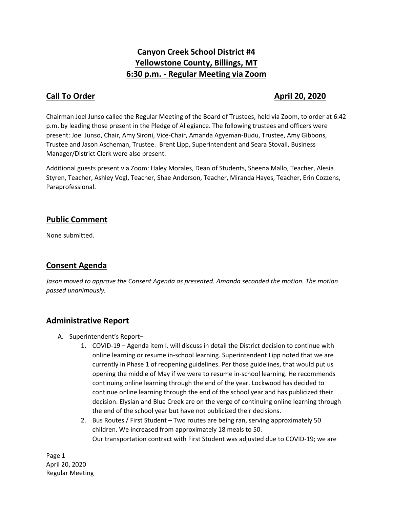# **Canyon Creek School District #4 Yellowstone County, Billings, MT 6:30 p.m. - Regular Meeting via Zoom**

## **Call To Order April 20, 2020**

Chairman Joel Junso called the Regular Meeting of the Board of Trustees, held via Zoom, to order at 6:42 p.m. by leading those present in the Pledge of Allegiance. The following trustees and officers were present: Joel Junso, Chair, Amy Sironi, Vice-Chair, Amanda Agyeman-Budu, Trustee, Amy Gibbons, Trustee and Jason Ascheman, Trustee. Brent Lipp, Superintendent and Seara Stovall, Business Manager/District Clerk were also present.

Additional guests present via Zoom: Haley Morales, Dean of Students, Sheena Mallo, Teacher, Alesia Styren, Teacher, Ashley Vogl, Teacher, Shae Anderson, Teacher, Miranda Hayes, Teacher, Erin Cozzens, Paraprofessional.

## **Public Comment**

None submitted.

## **Consent Agenda**

*Jason moved to approve the Consent Agenda as presented. Amanda seconded the motion. The motion passed unanimously.* 

### **Administrative Report**

- A. Superintendent's Report–
	- 1. COVID-19 Agenda item I. will discuss in detail the District decision to continue with online learning or resume in-school learning. Superintendent Lipp noted that we are currently in Phase 1 of reopening guidelines. Per those guidelines, that would put us opening the middle of May if we were to resume in-school learning. He recommends continuing online learning through the end of the year. Lockwood has decided to continue online learning through the end of the school year and has publicized their decision. Elysian and Blue Creek are on the verge of continuing online learning through the end of the school year but have not publicized their decisions.
	- 2. Bus Routes / First Student Two routes are being ran, serving approximately 50 children. We increased from approximately 18 meals to 50. Our transportation contract with First Student was adjusted due to COVID-19; we are

Page 1 April 20, 2020 Regular Meeting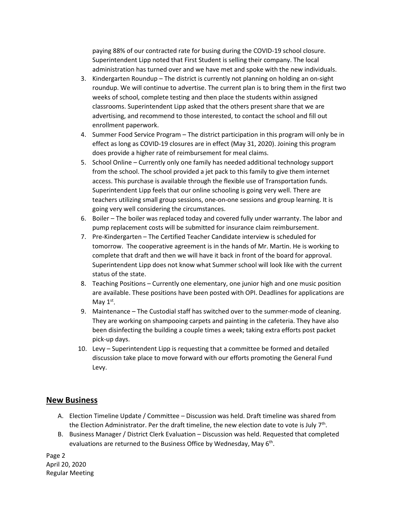paying 88% of our contracted rate for busing during the COVID-19 school closure. Superintendent Lipp noted that First Student is selling their company. The local administration has turned over and we have met and spoke with the new individuals.

- 3. Kindergarten Roundup The district is currently not planning on holding an on-sight roundup. We will continue to advertise. The current plan is to bring them in the first two weeks of school, complete testing and then place the students within assigned classrooms. Superintendent Lipp asked that the others present share that we are advertising, and recommend to those interested, to contact the school and fill out enrollment paperwork.
- 4. Summer Food Service Program The district participation in this program will only be in effect as long as COVID-19 closures are in effect (May 31, 2020). Joining this program does provide a higher rate of reimbursement for meal claims.
- 5. School Online Currently only one family has needed additional technology support from the school. The school provided a jet pack to this family to give them internet access. This purchase is available through the flexible use of Transportation funds. Superintendent Lipp feels that our online schooling is going very well. There are teachers utilizing small group sessions, one-on-one sessions and group learning. It is going very well considering the circumstances.
- 6. Boiler The boiler was replaced today and covered fully under warranty. The labor and pump replacement costs will be submitted for insurance claim reimbursement.
- 7. Pre-Kindergarten The Certified Teacher Candidate interview is scheduled for tomorrow. The cooperative agreement is in the hands of Mr. Martin. He is working to complete that draft and then we will have it back in front of the board for approval. Superintendent Lipp does not know what Summer school will look like with the current status of the state.
- 8. Teaching Positions Currently one elementary, one junior high and one music position are available. These positions have been posted with OPI. Deadlines for applications are May  $1<sup>st</sup>$ .
- 9. Maintenance The Custodial staff has switched over to the summer-mode of cleaning. They are working on shampooing carpets and painting in the cafeteria. They have also been disinfecting the building a couple times a week; taking extra efforts post packet pick-up days.
- 10. Levy Superintendent Lipp is requesting that a committee be formed and detailed discussion take place to move forward with our efforts promoting the General Fund Levy.

### **New Business**

- A. Election Timeline Update / Committee Discussion was held. Draft timeline was shared from the Election Administrator. Per the draft timeline, the new election date to vote is July  $7<sup>th</sup>$ .
- B. Business Manager / District Clerk Evaluation Discussion was held. Requested that completed evaluations are returned to the Business Office by Wednesday, May 6<sup>th</sup>.

Page 2 April 20, 2020 Regular Meeting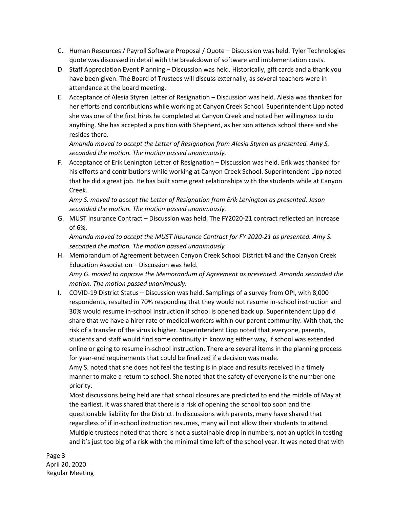- C. Human Resources / Payroll Software Proposal / Quote Discussion was held. Tyler Technologies quote was discussed in detail with the breakdown of software and implementation costs.
- D. Staff Appreciation Event Planning Discussion was held. Historically, gift cards and a thank you have been given. The Board of Trustees will discuss externally, as several teachers were in attendance at the board meeting.
- E. Acceptance of Alesia Styren Letter of Resignation Discussion was held. Alesia was thanked for her efforts and contributions while working at Canyon Creek School. Superintendent Lipp noted she was one of the first hires he completed at Canyon Creek and noted her willingness to do anything. She has accepted a position with Shepherd, as her son attends school there and she resides there.

*Amanda moved to accept the Letter of Resignation from Alesia Styren as presented. Amy S. seconded the motion. The motion passed unanimously.*

F. Acceptance of Erik Lenington Letter of Resignation – Discussion was held. Erik was thanked for his efforts and contributions while working at Canyon Creek School. Superintendent Lipp noted that he did a great job. He has built some great relationships with the students while at Canyon Creek.

*Amy S. moved to accept the Letter of Resignation from Erik Lenington as presented. Jason seconded the motion. The motion passed unanimously.*

G. MUST Insurance Contract – Discussion was held. The FY2020-21 contract reflected an increase of 6%.

*Amanda moved to accept the MUST Insurance Contract for FY 2020-21 as presented. Amy S. seconded the motion. The motion passed unanimously.*

- H. Memorandum of Agreement between Canyon Creek School District #4 and the Canyon Creek Education Association – Discussion was held. *Amy G. moved to approve the Memorandum of Agreement as presented. Amanda seconded the motion. The motion passed unanimously.*
- I. COVID-19 District Status Discussion was held. Samplings of a survey from OPI, with 8,000 respondents, resulted in 70% responding that they would not resume in-school instruction and 30% would resume in-school instruction if school is opened back up. Superintendent Lipp did share that we have a hirer rate of medical workers within our parent community. With that, the risk of a transfer of the virus is higher. Superintendent Lipp noted that everyone, parents, students and staff would find some continuity in knowing either way, if school was extended online or going to resume in-school instruction. There are several items in the planning process for year-end requirements that could be finalized if a decision was made.

Amy S. noted that she does not feel the testing is in place and results received in a timely manner to make a return to school. She noted that the safety of everyone is the number one priority.

Most discussions being held are that school closures are predicted to end the middle of May at the earliest. It was shared that there is a risk of opening the school too soon and the questionable liability for the District. In discussions with parents, many have shared that regardless of if in-school instruction resumes, many will not allow their students to attend. Multiple trustees noted that there is not a sustainable drop in numbers, not an uptick in testing and it's just too big of a risk with the minimal time left of the school year. It was noted that with

Page 3 April 20, 2020 Regular Meeting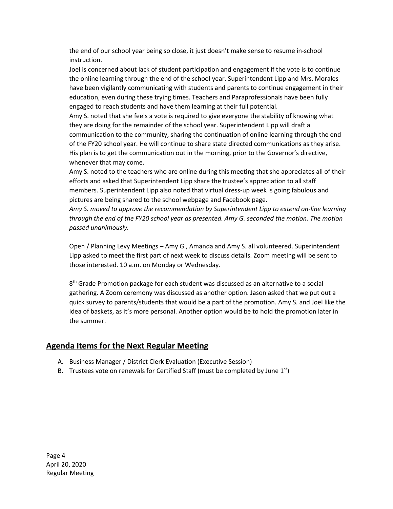the end of our school year being so close, it just doesn't make sense to resume in-school instruction.

Joel is concerned about lack of student participation and engagement if the vote is to continue the online learning through the end of the school year. Superintendent Lipp and Mrs. Morales have been vigilantly communicating with students and parents to continue engagement in their education, even during these trying times. Teachers and Paraprofessionals have been fully engaged to reach students and have them learning at their full potential.

Amy S. noted that she feels a vote is required to give everyone the stability of knowing what they are doing for the remainder of the school year. Superintendent Lipp will draft a communication to the community, sharing the continuation of online learning through the end of the FY20 school year. He will continue to share state directed communications as they arise. His plan is to get the communication out in the morning, prior to the Governor's directive, whenever that may come.

Amy S. noted to the teachers who are online during this meeting that she appreciates all of their efforts and asked that Superintendent Lipp share the trustee's appreciation to all staff members. Superintendent Lipp also noted that virtual dress-up week is going fabulous and pictures are being shared to the school webpage and Facebook page.

*Amy S. moved to approve the recommendation by Superintendent Lipp to extend on-line learning through the end of the FY20 school year as presented. Amy G. seconded the motion. The motion passed unanimously.*

Open / Planning Levy Meetings – Amy G., Amanda and Amy S. all volunteered. Superintendent Lipp asked to meet the first part of next week to discuss details. Zoom meeting will be sent to those interested. 10 a.m. on Monday or Wednesday.

 $8<sup>th</sup>$  Grade Promotion package for each student was discussed as an alternative to a social gathering. A Zoom ceremony was discussed as another option. Jason asked that we put out a quick survey to parents/students that would be a part of the promotion. Amy S. and Joel like the idea of baskets, as it's more personal. Another option would be to hold the promotion later in the summer.

### **Agenda Items for the Next Regular Meeting**

- A. Business Manager / District Clerk Evaluation (Executive Session)
- B. Trustees vote on renewals for Certified Staff (must be completed by June  $1<sup>st</sup>$ )